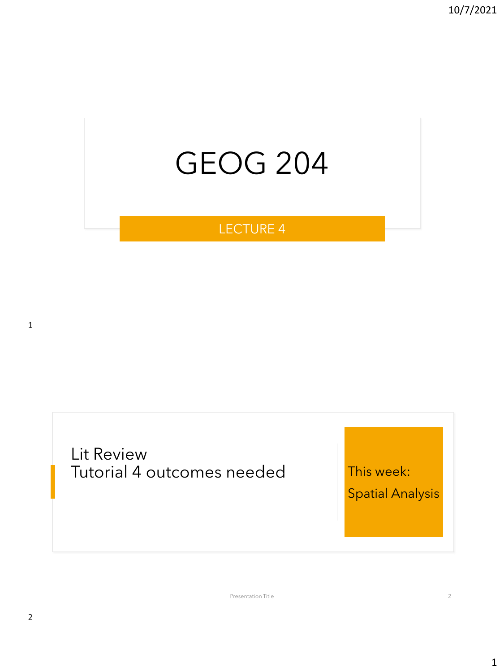# GEOG 204

#### LECTURE 4

1

Lit Review Tutorial 4 outcomes needed This week:

Spatial Analysis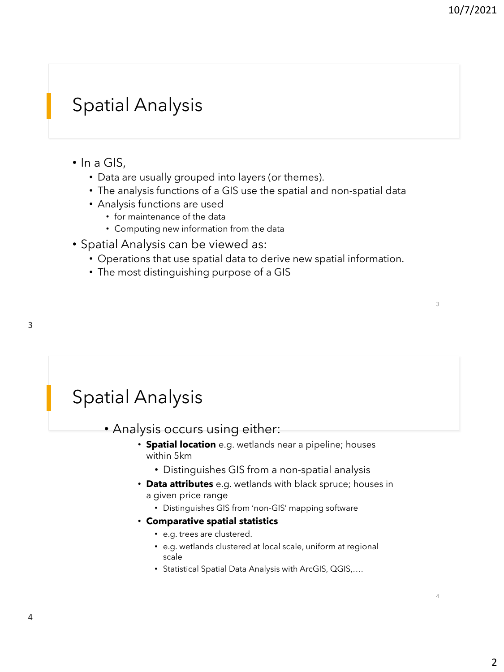3

4

#### Spatial Analysis

- In a GIS,
	- Data are usually grouped into layers (or themes).
	- The analysis functions of a GIS use the spatial and non-spatial data
	- Analysis functions are used
		- for maintenance of the data
		- Computing new information from the data
- Spatial Analysis can be viewed as:
	- Operations that use spatial data to derive new spatial information.
	- The most distinguishing purpose of a GIS

#### Spatial Analysis

#### • Analysis occurs using either:

- **Spatial location** e.g. wetlands near a pipeline; houses within 5km
	- Distinguishes GIS from a non-spatial analysis
- **Data attributes** e.g. wetlands with black spruce; houses in a given price range
	- Distinguishes GIS from 'non-GIS' mapping software
- **Comparative spatial statistics** 
	- e.g. trees are clustered.
	- e.g. wetlands clustered at local scale, uniform at regional scale
	- Statistical Spatial Data Analysis with ArcGIS, QGIS,….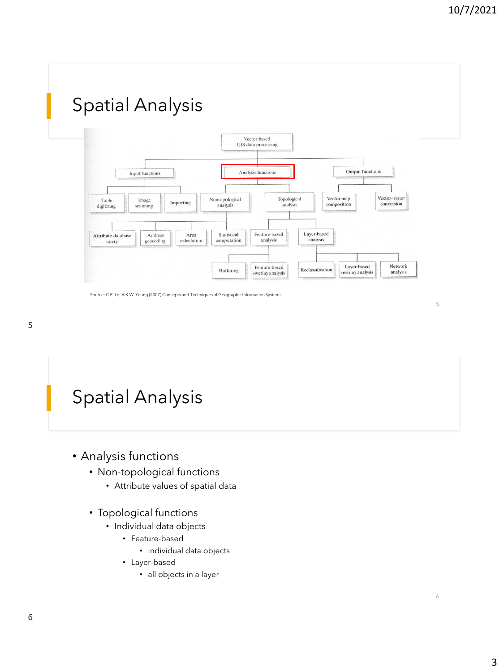

#### Spatial Analysis

- Analysis functions
	- Non-topological functions
		- Attribute values of spatial data
	- Topological functions
		- Individual data objects
			- Feature-based
				- individual data objects
			- Layer-based
				- all objects in a layer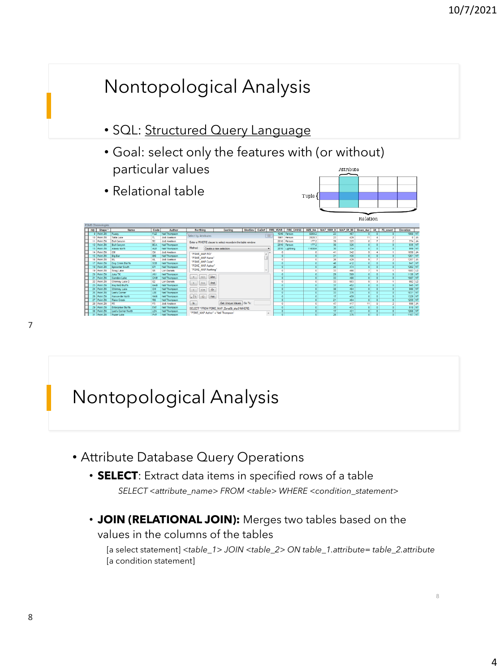

#### Nontopological Analysis

- Attribute Database Query Operations
	- **SELECT**: Extract data items in specified rows of a table *SELECT <attribute\_name> FROM <table> WHERE <condition\_statement>*
	- **JOIN (RELATIONAL JOIN):** Merges two tables based on the values in the columns of the tables

[a select statement] *<table\_1> JOIN <table\_2> ON table\_1.attribute= table\_2.attribute*  [a condition statement]

7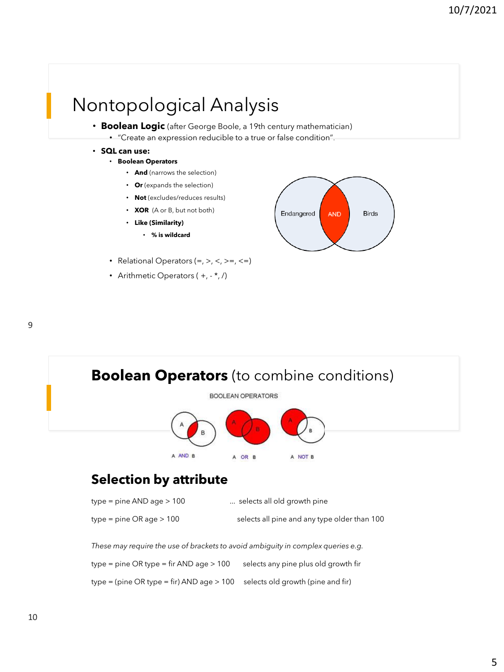#### Nontopological Analysis

- **Boolean Logic** (after George Boole, a 19th century mathematician)
	- "Create an expression reducible to a true or false condition".
- **SQL can use:** 
	- **Boolean Operators**
		- **And** (narrows the selection)
		- **Or** (expands the selection)
		- **Not** (excludes/reduces results)
		- **XOR** (A or B, but not both)
		- **Like (Similarity)**
			- **% is wildcard**
	- Relational Operators  $(=, >, <, >=, <=)$
	- Arithmetic Operators  $(+,-*,')$







| type = pine $AND$ age $> 100$ | selects all old growth pine                  |
|-------------------------------|----------------------------------------------|
| type = pine OR age $> 100$    | selects all pine and any type older than 100 |

*These may require the use of brackets to avoid ambiguity in complex queries e.g.*

 $type = pipe$  OR type = fir AND age > 100 selects any pine plus old growth fir

type = (pine OR type = fir) AND age > 100 selects old growth (pine and fir)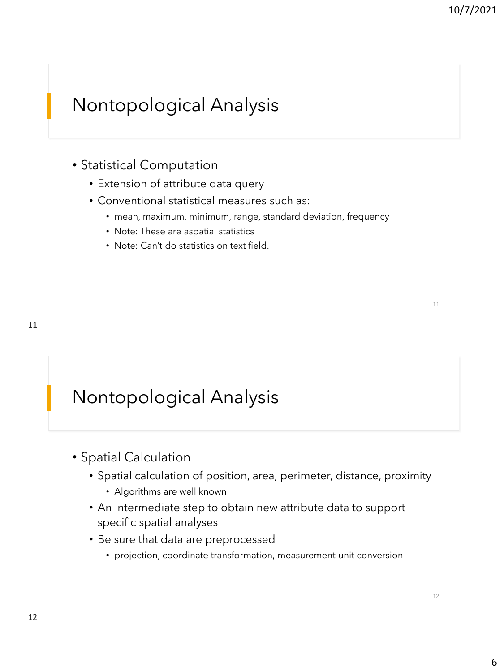# Nontopological Analysis

- Statistical Computation
	- Extension of attribute data query
	- Conventional statistical measures such as:
		- mean, maximum, minimum, range, standard deviation, frequency
		- Note: These are aspatial statistics
		- Note: Can't do statistics on text field.

## Nontopological Analysis

- Spatial Calculation
	- Spatial calculation of position, area, perimeter, distance, proximity
		- Algorithms are well known
	- An intermediate step to obtain new attribute data to support specific spatial analyses
	- Be sure that data are preprocessed
		- projection, coordinate transformation, measurement unit conversion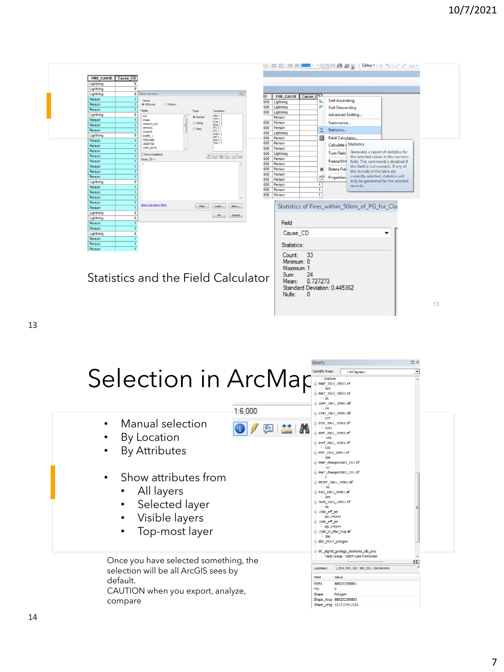$\square$   $\times$ 

| Lightning        | $\circ$        |                                     |             |                       |                          |                                                               |                      |                           |                                                    |
|------------------|----------------|-------------------------------------|-------------|-----------------------|--------------------------|---------------------------------------------------------------|----------------------|---------------------------|----------------------------------------------------|
| Lightning        | $\bullet$      | <b>Field Calculator</b>             |             | $\overline{\Sigma}$   | TE                       | FIRE CAUSE Cause Cn.                                          |                      |                           |                                                    |
| Person           |                | Parcer                              |             |                       | 000                      | Lightning                                                     |                      |                           | Sort Ascending                                     |
| Person<br>Person |                | @ VB Script<br><b>Python</b>        |             |                       | 000                      | Lightning                                                     |                      | ø                         | Sort Descending                                    |
| Lightning        | $\Omega$       | Fields:                             | Type:       | Functions:            | 000                      | Lightning                                                     |                      |                           | Advanced Sorting                                   |
| Person           |                | <b>FID</b><br>Shape                 | @ Number    | Abs (<br>Atn ()       |                          | Person                                                        |                      |                           |                                                    |
| Person           |                | <b>VERSION NO</b>                   | String      | Cos (<br>Exp (        | 000                      | Person                                                        |                      |                           | Summarize                                          |
| Person           |                | <b>METHOD</b>                       | <b>Date</b> | Fix(<br>Int (         | 000                      | Person                                                        |                      | Σ                         | Statistics                                         |
| Lightning        | $\Omega$       | SOURCE<br>SHAPE 1                   |             | Log (                 | 000                      | Lightning                                                     |                      |                           |                                                    |
| Person           |                | FIRELABEL                           |             | sin(1)<br>$ S\alpha $ | 000                      | Person                                                        |                      |                           | Field Calculator                                   |
| Person           |                | <b>OBJECTID</b>                     |             | Tan( )                | 000                      | Person                                                        |                      |                           | <b>Calculate &amp; Statistics</b>                  |
| Person           |                | LOAD DATE                           |             |                       | 000                      | Person                                                        |                      |                           | Generates a report of statistics for<br>Turn Field |
| Person           |                | Show Codeblock                      |             |                       | 000                      | Lightning                                                     |                      |                           | the selected values in this numeric                |
| Person           |                | Cause $CD =$                        |             |                       | 000                      | Person                                                        |                      |                           | Freeze/Uni<br>field. This command is disabled if   |
| Person           |                | $\mathbf{I}$                        |             |                       | 000                      | Person                                                        |                      |                           | this field is not numeric. If any of               |
| Person           |                |                                     |             |                       | 000<br>000               | Person<br>Person                                              |                      | $\boldsymbol{\mathsf{x}}$ | Delete Fiel<br>the records in the table are        |
| Person           |                |                                     |             |                       | 000                      | Person                                                        |                      | Ġ                         | currently selected, statistics will<br>Properties. |
| Lightning        | $\mathbf 0$    |                                     |             |                       | 000                      | Person                                                        |                      | $\mathbf{1}$              | only be generated for the selected                 |
| Person           |                |                                     |             |                       | 000                      | Person                                                        |                      | 1                         | records.                                           |
| Person           |                |                                     |             |                       | 000                      | Person                                                        |                      | $\mathbf{1}$              |                                                    |
| Person           |                |                                     |             |                       | $\overline{\phantom{a}}$ |                                                               |                      |                           |                                                    |
| Person           |                | About calculating fields            | Clear       | Save<br>Load          |                          |                                                               |                      |                           | Statistics of Fires_within_50km_of_PG_for_Cla:     |
| Person           |                |                                     |             |                       |                          |                                                               |                      |                           |                                                    |
| Lightning        | 0              |                                     |             | OK<br>Cancel          |                          |                                                               |                      |                           |                                                    |
| Lightning        | $\circ$        |                                     |             |                       |                          | Field                                                         |                      |                           |                                                    |
| Person<br>Person | 1<br>1         |                                     |             |                       |                          |                                                               |                      |                           |                                                    |
| Lightning        | $\mathbf 0$    |                                     |             |                       |                          | Cause CD                                                      |                      |                           | ▼                                                  |
| Person           |                |                                     |             |                       |                          |                                                               |                      |                           |                                                    |
| Person           | $\overline{1}$ |                                     |             |                       |                          |                                                               |                      |                           |                                                    |
| Person           | $\overline{1}$ |                                     |             |                       |                          | Statistics:                                                   |                      |                           |                                                    |
|                  |                | Statistics and the Field Calculator |             |                       |                          | Count:<br>Minimum: 0<br>Maximum: 1<br>Sum:<br>Mean:<br>Nulls: | 33<br>24<br>0.727273 |                           | Standard Deviation: 0.445362                       |

# Selection in ArcMap

| Selection in ArcMap                                                                                                                                         | Identify from:<br><all layers=""><br/>NoData<br/>MAP 1961 19901.tif<br/>565<br/>-MAT 1961 19901.tif<br/><math>-36</math><br/>- AHM_1961_19901.tif<br/><math>-24</math><br/>1:6,000<br/>CMD_1961_19901.tif</all>                                                                                                                                                                                   |
|-------------------------------------------------------------------------------------------------------------------------------------------------------------|---------------------------------------------------------------------------------------------------------------------------------------------------------------------------------------------------------------------------------------------------------------------------------------------------------------------------------------------------------------------------------------------------|
| Manual selection<br>$\bullet$<br>By Location<br><b>By Attributes</b><br>Show attributes from<br>$\bullet$<br>All layers<br>Selected layer<br>Visible layers | $-237$<br>DD5_1961_19901.tif<br>$-1251$<br>EMT 1961 19901.tif<br>$-396$<br>Eref 1961 19901.tif<br>$-550$<br><b>E-FFP 1961 19901.tif</b><br>$-108$<br>MAP_changed2001_091.tif<br>$-23$<br>MAT_changed2001_091.tif<br>1.7<br>MCMT_1961_19901.tif<br>$-90$<br>PAS_1961_19901.tif<br>$-205$<br><b>B</b> SHM 1961 19901.tif<br>$-58$<br>□ 250k eff lat<br>$-60.374344$<br>250k_eff_lat<br>$-60.374344$ |
| Top-most layer<br>Once you have selected something, the<br>selection will be all ArcGIS sees by<br>default.<br>CAUTION when you export, analyze,<br>compare | 250k_In_Plat_Proj.tif<br>$-786$<br>BEC POLY polygon<br>BC_digital_geology_bedrocks_alb_poly<br>- Takla Group - Witch Lake Formation<br>ନା⊺<br>1,208,780,185 992,281,186 Meters<br>Location:<br>Field<br>Value<br><b>AREA</b><br>889292390801<br><b>FID</b><br>$\bullet$<br>Shape<br>Polygon<br>Shape Area 889292390803<br>Shape_Leng 12171344.3133                                                |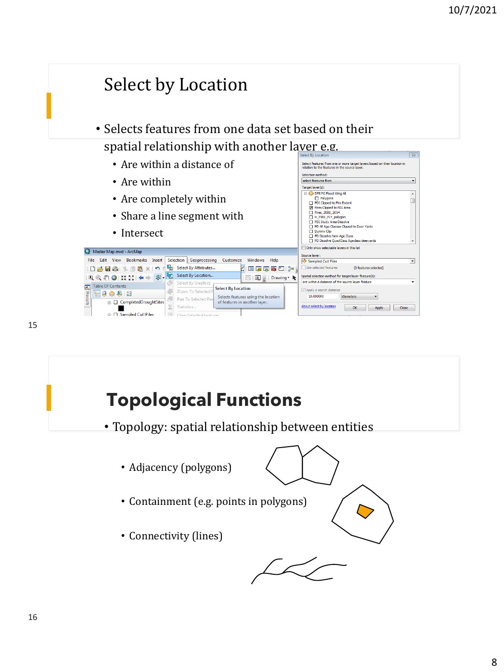

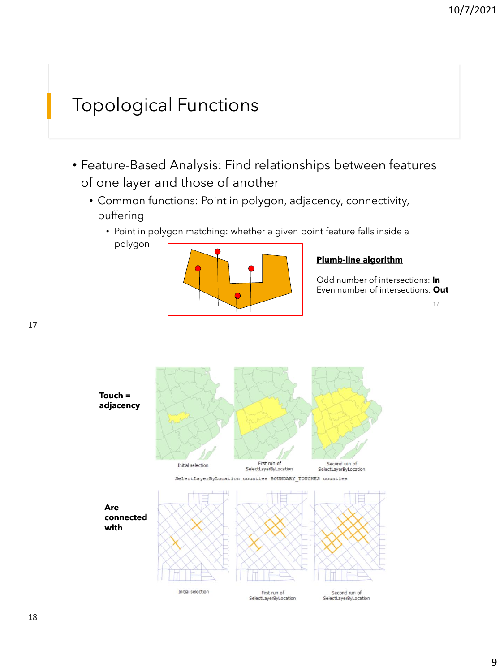# Topological Functions

- Feature-Based Analysis: Find relationships between features of one layer and those of another
	- Common functions: Point in polygon, adjacency, connectivity, buffering
		- Point in polygon matching: whether a given point feature falls inside a polygon



#### **Plumb-line algorithm**

Odd number of intersections: **In** Even number of intersections: **Out**

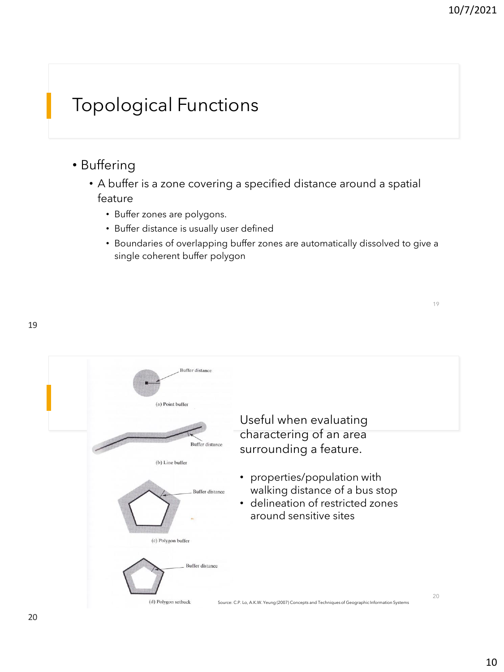19

# Topological Functions

- Buffering
	- A buffer is a zone covering a specified distance around a spatial feature
		- Buffer zones are polygons.
		- Buffer distance is usually user defined
		- Boundaries of overlapping buffer zones are automatically dissolved to give a single coherent buffer polygon

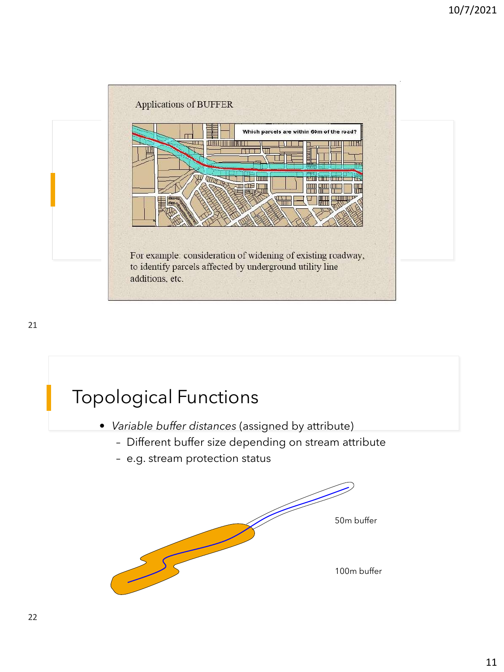

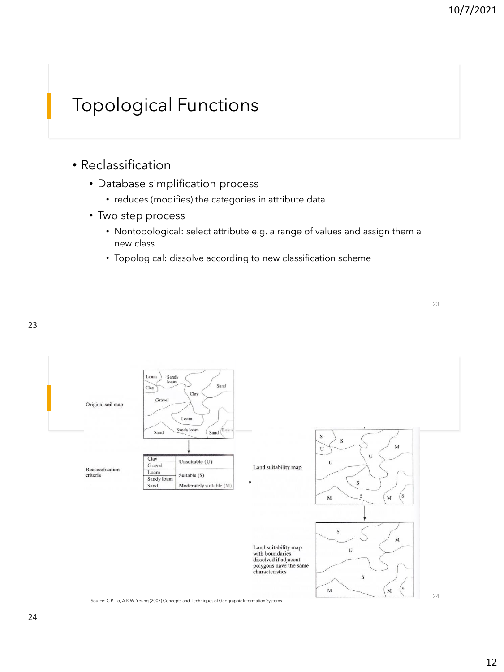## Topological Functions

- Reclassification
	- Database simplification process
		- reduces (modifies) the categories in attribute data
	- Two step process
		- Nontopological: select attribute e.g. a range of values and assign them a new class
		- Topological: dissolve according to new classification scheme



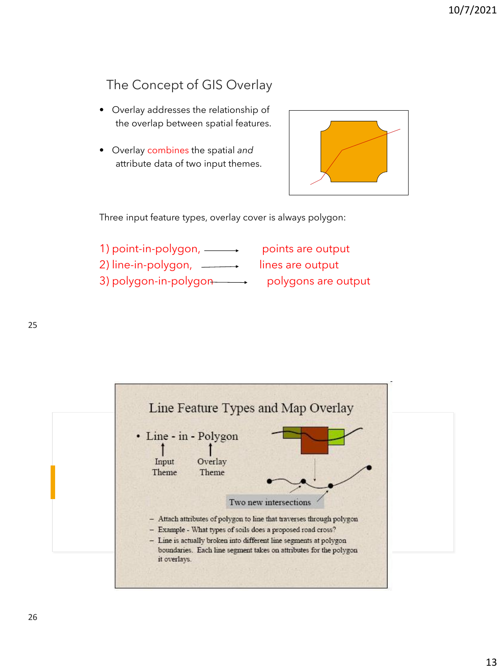#### The Concept of GIS Overlay

- Overlay addresses the relationship of the overlap between spatial features.
- Overlay combines the spatial *and* attribute data of two input themes.



Three input feature types, overlay cover is always polygon:

1) point-in-polygon, **points are output** 2) line-in-polygon, \_\_\_\_\_\_, lines are output 3) polygon-in-polygon polygons are output

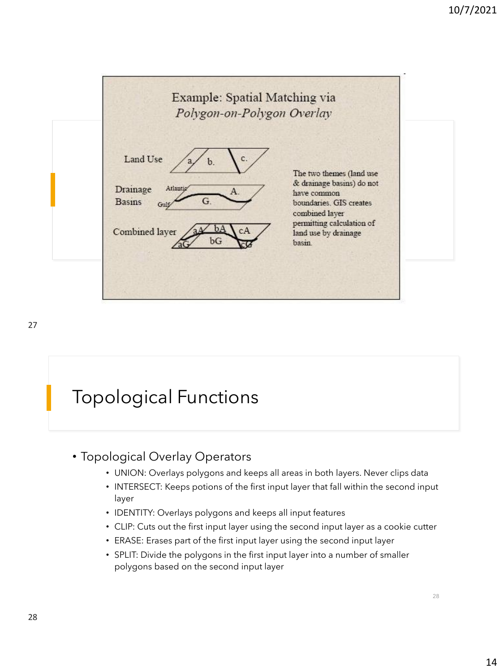

## Topological Functions

#### • Topological Overlay Operators

- UNION: Overlays polygons and keeps all areas in both layers. Never clips data
- INTERSECT: Keeps potions of the first input layer that fall within the second input layer
- IDENTITY: Overlays polygons and keeps all input features
- CLIP: Cuts out the first input layer using the second input layer as a cookie cutter
- ERASE: Erases part of the first input layer using the second input layer
- SPLIT: Divide the polygons in the first input layer into a number of smaller polygons based on the second input layer